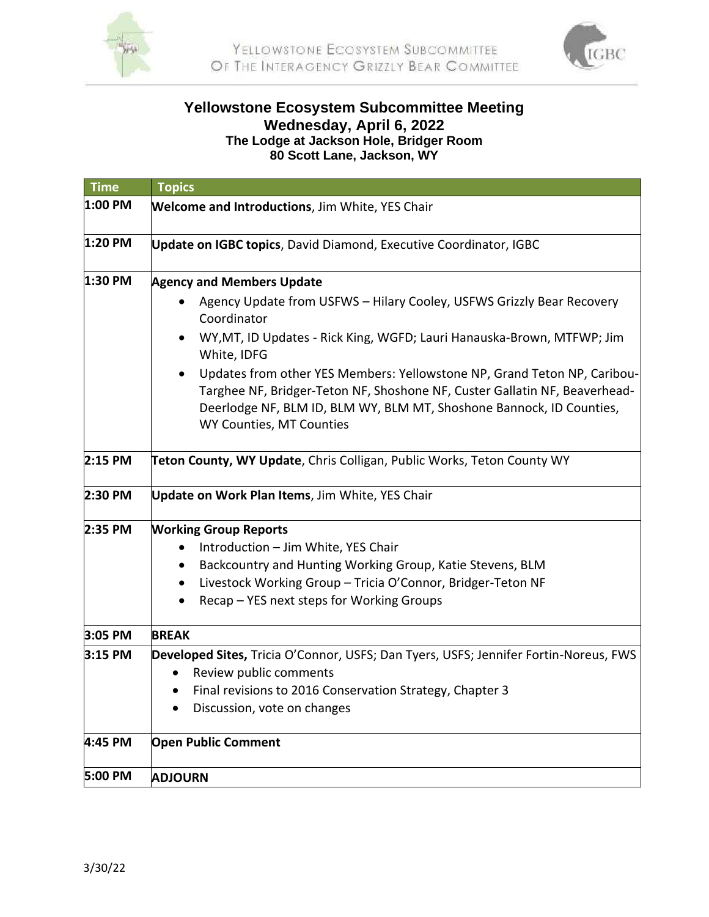



## **Yellowstone Ecosystem Subcommittee Meeting Wednesday, April 6, 2022 The Lodge at Jackson Hole, Bridger Room 80 Scott Lane, Jackson, WY**

| <b>Time</b> | <b>Topics</b>                                                                                                                                                                                                                                                           |
|-------------|-------------------------------------------------------------------------------------------------------------------------------------------------------------------------------------------------------------------------------------------------------------------------|
| 1:00 PM     | <b>Welcome and Introductions, Jim White, YES Chair</b>                                                                                                                                                                                                                  |
| 1:20 PM     | Update on IGBC topics, David Diamond, Executive Coordinator, IGBC                                                                                                                                                                                                       |
| 1:30 PM     | <b>Agency and Members Update</b>                                                                                                                                                                                                                                        |
|             | Agency Update from USFWS - Hilary Cooley, USFWS Grizzly Bear Recovery<br>Coordinator                                                                                                                                                                                    |
|             | WY, MT, ID Updates - Rick King, WGFD; Lauri Hanauska-Brown, MTFWP; Jim<br>White, IDFG                                                                                                                                                                                   |
|             | Updates from other YES Members: Yellowstone NP, Grand Teton NP, Caribou-<br>$\bullet$<br>Targhee NF, Bridger-Teton NF, Shoshone NF, Custer Gallatin NF, Beaverhead-<br>Deerlodge NF, BLM ID, BLM WY, BLM MT, Shoshone Bannock, ID Counties,<br>WY Counties, MT Counties |
| 2:15 PM     | Teton County, WY Update, Chris Colligan, Public Works, Teton County WY                                                                                                                                                                                                  |
| 2:30 PM     | Update on Work Plan Items, Jim White, YES Chair                                                                                                                                                                                                                         |
| 2:35 PM     | <b>Working Group Reports</b>                                                                                                                                                                                                                                            |
|             | Introduction - Jim White, YES Chair                                                                                                                                                                                                                                     |
|             | Backcountry and Hunting Working Group, Katie Stevens, BLM<br>$\bullet$                                                                                                                                                                                                  |
|             | Livestock Working Group - Tricia O'Connor, Bridger-Teton NF<br>$\bullet$                                                                                                                                                                                                |
|             | Recap - YES next steps for Working Groups<br>$\bullet$                                                                                                                                                                                                                  |
| 3:05 PM     | <b>BREAK</b>                                                                                                                                                                                                                                                            |
| 3:15 PM     | Developed Sites, Tricia O'Connor, USFS; Dan Tyers, USFS; Jennifer Fortin-Noreus, FWS                                                                                                                                                                                    |
|             | Review public comments<br>$\bullet$                                                                                                                                                                                                                                     |
|             | Final revisions to 2016 Conservation Strategy, Chapter 3<br>$\bullet$                                                                                                                                                                                                   |
|             | Discussion, vote on changes                                                                                                                                                                                                                                             |
| 4:45 PM     | <b>Open Public Comment</b>                                                                                                                                                                                                                                              |
| 5:00 PM     | <b>ADJOURN</b>                                                                                                                                                                                                                                                          |